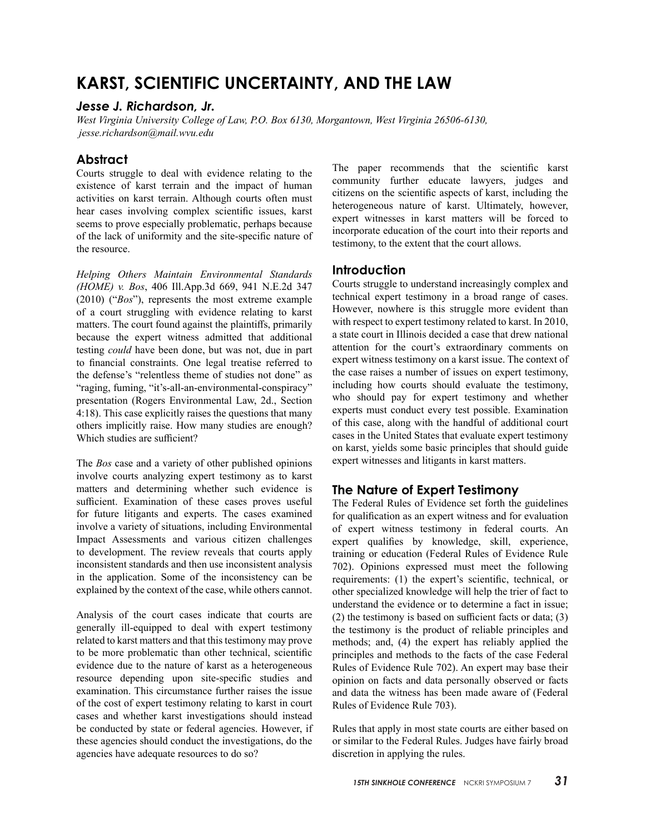# **KARST, SCIENTIFIC UNCERTAINTY, AND THE LAW**

#### *Jesse J. Richardson, Jr.*

*West Virginia University College of Law, P.O. Box 6130, Morgantown, West Virginia 26506-6130, jesse.richardson@mail.wvu.edu*

### **Abstract**

Courts struggle to deal with evidence relating to the existence of karst terrain and the impact of human activities on karst terrain. Although courts often must hear cases involving complex scientific issues, karst seems to prove especially problematic, perhaps because of the lack of uniformity and the site-specific nature of the resource.

*Helping Others Maintain Environmental Standards (HOME) v. Bos*, 406 Ill.App.3d 669, 941 N.E.2d 347 (2010) ("*Bos*"), represents the most extreme example of a court struggling with evidence relating to karst matters. The court found against the plaintiffs, primarily because the expert witness admitted that additional testing *could* have been done, but was not, due in part to financial constraints. One legal treatise referred to the defense's "relentless theme of studies not done" as "raging, fuming, "it's-all-an-environmental-conspiracy" presentation (Rogers Environmental Law, 2d., Section 4:18). This case explicitly raises the questions that many others implicitly raise. How many studies are enough? Which studies are sufficient?

The *Bos* case and a variety of other published opinions involve courts analyzing expert testimony as to karst matters and determining whether such evidence is sufficient. Examination of these cases proves useful for future litigants and experts. The cases examined involve a variety of situations, including Environmental Impact Assessments and various citizen challenges to development. The review reveals that courts apply inconsistent standards and then use inconsistent analysis in the application. Some of the inconsistency can be explained by the context of the case, while others cannot.

Analysis of the court cases indicate that courts are generally ill-equipped to deal with expert testimony related to karst matters and that this testimony may prove to be more problematic than other technical, scientific evidence due to the nature of karst as a heterogeneous resource depending upon site-specific studies and examination. This circumstance further raises the issue of the cost of expert testimony relating to karst in court cases and whether karst investigations should instead be conducted by state or federal agencies. However, if these agencies should conduct the investigations, do the agencies have adequate resources to do so?

The paper recommends that the scientific karst community further educate lawyers, judges and citizens on the scientific aspects of karst, including the heterogeneous nature of karst. Ultimately, however, expert witnesses in karst matters will be forced to incorporate education of the court into their reports and testimony, to the extent that the court allows.

### **Introduction**

Courts struggle to understand increasingly complex and technical expert testimony in a broad range of cases. However, nowhere is this struggle more evident than with respect to expert testimony related to karst. In 2010, a state court in Illinois decided a case that drew national attention for the court's extraordinary comments on expert witness testimony on a karst issue. The context of the case raises a number of issues on expert testimony, including how courts should evaluate the testimony, who should pay for expert testimony and whether experts must conduct every test possible. Examination of this case, along with the handful of additional court cases in the United States that evaluate expert testimony on karst, yields some basic principles that should guide expert witnesses and litigants in karst matters.

# **The Nature of Expert Testimony**

The Federal Rules of Evidence set forth the guidelines for qualification as an expert witness and for evaluation of expert witness testimony in federal courts. An expert qualifies by knowledge, skill, experience, training or education (Federal Rules of Evidence Rule 702). Opinions expressed must meet the following requirements: (1) the expert's scientific, technical, or other specialized knowledge will help the trier of fact to understand the evidence or to determine a fact in issue; (2) the testimony is based on sufficient facts or data; (3) the testimony is the product of reliable principles and methods; and, (4) the expert has reliably applied the principles and methods to the facts of the case Federal Rules of Evidence Rule 702). An expert may base their opinion on facts and data personally observed or facts and data the witness has been made aware of (Federal Rules of Evidence Rule 703).

Rules that apply in most state courts are either based on or similar to the Federal Rules. Judges have fairly broad discretion in applying the rules.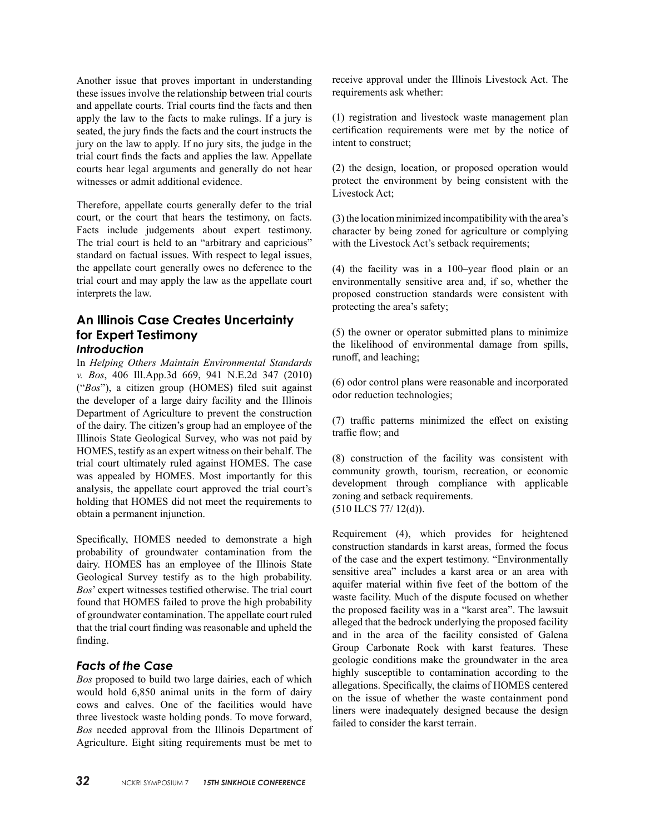Another issue that proves important in understanding these issues involve the relationship between trial courts and appellate courts. Trial courts find the facts and then apply the law to the facts to make rulings. If a jury is seated, the jury finds the facts and the court instructs the jury on the law to apply. If no jury sits, the judge in the trial court finds the facts and applies the law. Appellate courts hear legal arguments and generally do not hear witnesses or admit additional evidence.

Therefore, appellate courts generally defer to the trial court, or the court that hears the testimony, on facts. Facts include judgements about expert testimony. The trial court is held to an "arbitrary and capricious" standard on factual issues. With respect to legal issues, the appellate court generally owes no deference to the trial court and may apply the law as the appellate court interprets the law.

# **An Illinois Case Creates Uncertainty for Expert Testimony** *Introduction*

In *Helping Others Maintain Environmental Standards v. Bos*, 406 Ill.App.3d 669, 941 N.E.2d 347 (2010) ("*Bos*"), a citizen group (HOMES) filed suit against the developer of a large dairy facility and the Illinois Department of Agriculture to prevent the construction of the dairy. The citizen's group had an employee of the Illinois State Geological Survey, who was not paid by HOMES, testify as an expert witness on their behalf. The trial court ultimately ruled against HOMES. The case was appealed by HOMES. Most importantly for this analysis, the appellate court approved the trial court's holding that HOMES did not meet the requirements to obtain a permanent injunction.

Specifically, HOMES needed to demonstrate a high probability of groundwater contamination from the dairy. HOMES has an employee of the Illinois State Geological Survey testify as to the high probability. *Bos*' expert witnesses testified otherwise. The trial court found that HOMES failed to prove the high probability of groundwater contamination. The appellate court ruled that the trial court finding was reasonable and upheld the finding.

# *Facts of the Case*

*Bos* proposed to build two large dairies, each of which would hold 6,850 animal units in the form of dairy cows and calves. One of the facilities would have three livestock waste holding ponds. To move forward, *Bos* needed approval from the Illinois Department of Agriculture. Eight siting requirements must be met to receive approval under the Illinois Livestock Act. The requirements ask whether:

(1) registration and livestock waste management plan certification requirements were met by the notice of intent to construct;

(2) the design, location, or proposed operation would protect the environment by being consistent with the Livestock Act;

(3) the location minimized incompatibility with the area's character by being zoned for agriculture or complying with the Livestock Act's setback requirements;

(4) the facility was in a 100–year flood plain or an environmentally sensitive area and, if so, whether the proposed construction standards were consistent with protecting the area's safety;

(5) the owner or operator submitted plans to minimize the likelihood of environmental damage from spills, runoff, and leaching;

(6) odor control plans were reasonable and incorporated odor reduction technologies;

(7) traffic patterns minimized the effect on existing traffic flow; and

(8) construction of the facility was consistent with community growth, tourism, recreation, or economic development through compliance with applicable zoning and setback requirements. (510 ILCS 77/ 12(d)).

Requirement (4), which provides for heightened construction standards in karst areas, formed the focus of the case and the expert testimony. "Environmentally sensitive area" includes a karst area or an area with aquifer material within five feet of the bottom of the waste facility. Much of the dispute focused on whether the proposed facility was in a "karst area". The lawsuit alleged that the bedrock underlying the proposed facility and in the area of the facility consisted of Galena Group Carbonate Rock with karst features. These geologic conditions make the groundwater in the area highly susceptible to contamination according to the allegations. Specifically, the claims of HOMES centered on the issue of whether the waste containment pond liners were inadequately designed because the design failed to consider the karst terrain.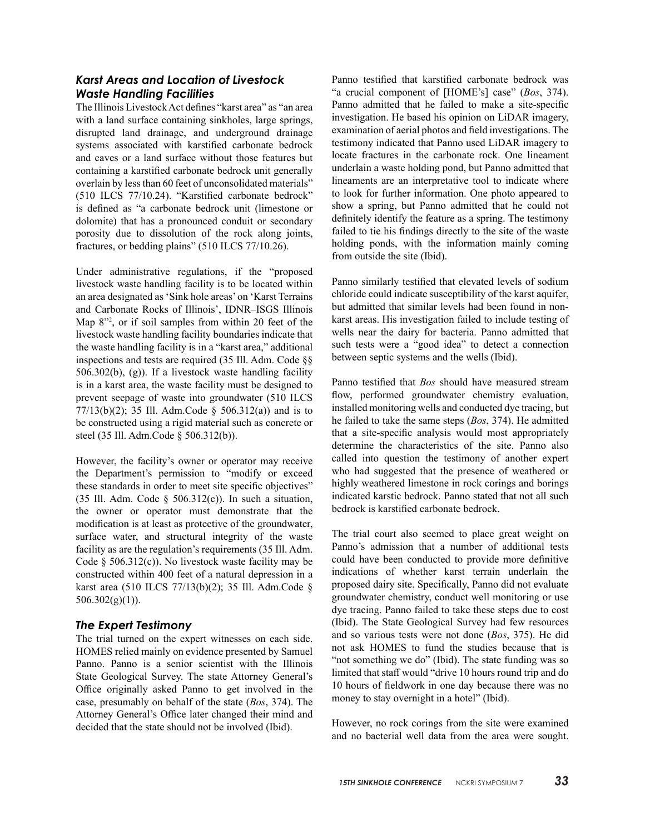# *Karst Areas and Location of Livestock Waste Handling Facilities*

The Illinois Livestock Act defines "karst area" as "an area with a land surface containing sinkholes, large springs, disrupted land drainage, and underground drainage systems associated with karstified carbonate bedrock and caves or a land surface without those features but containing a karstified carbonate bedrock unit generally overlain by less than 60 feet of unconsolidated materials" (510 ILCS 77/10.24). "Karstified carbonate bedrock" is defined as "a carbonate bedrock unit (limestone or dolomite) that has a pronounced conduit or secondary porosity due to dissolution of the rock along joints, fractures, or bedding plains" (510 ILCS 77/10.26).

Under administrative regulations, if the "proposed livestock waste handling facility is to be located within an area designated as 'Sink hole areas' on 'Karst Terrains and Carbonate Rocks of Illinois', IDNR–ISGS Illinois Map 8"2 , or if soil samples from within 20 feet of the livestock waste handling facility boundaries indicate that the waste handling facility is in a "karst area," additional inspections and tests are required (35 Ill. Adm. Code §§ 506.302(b), (g)). If a livestock waste handling facility is in a karst area, the waste facility must be designed to prevent seepage of waste into groundwater (510 ILCS 77/13(b)(2); 35 Ill. Adm.Code § 506.312(a)) and is to be constructed using a rigid material such as concrete or steel (35 Ill. Adm.Code § 506.312(b)).

However, the facility's owner or operator may receive the Department's permission to "modify or exceed these standards in order to meet site specific objectives" (35 Ill. Adm. Code  $\S$  506.312(c)). In such a situation, the owner or operator must demonstrate that the modification is at least as protective of the groundwater, surface water, and structural integrity of the waste facility as are the regulation's requirements (35 Ill. Adm. Code  $\S$  506.312(c)). No livestock waste facility may be constructed within 400 feet of a natural depression in a karst area (510 ILCS 77/13(b)(2); 35 Ill. Adm.Code §  $506.302(g)(1)$ ).

### *The Expert Testimony*

The trial turned on the expert witnesses on each side. HOMES relied mainly on evidence presented by Samuel Panno. Panno is a senior scientist with the Illinois State Geological Survey. The state Attorney General's Office originally asked Panno to get involved in the case, presumably on behalf of the state (*Bos*, 374). The Attorney General's Office later changed their mind and decided that the state should not be involved (Ibid).

Panno testified that karstified carbonate bedrock was "a crucial component of [HOME's] case" (*Bos*, 374). Panno admitted that he failed to make a site-specific investigation. He based his opinion on LiDAR imagery, examination of aerial photos and field investigations. The testimony indicated that Panno used LiDAR imagery to locate fractures in the carbonate rock. One lineament underlain a waste holding pond, but Panno admitted that lineaments are an interpretative tool to indicate where to look for further information. One photo appeared to show a spring, but Panno admitted that he could not definitely identify the feature as a spring. The testimony failed to tie his findings directly to the site of the waste holding ponds, with the information mainly coming from outside the site (Ibid).

Panno similarly testified that elevated levels of sodium chloride could indicate susceptibility of the karst aquifer, but admitted that similar levels had been found in nonkarst areas. His investigation failed to include testing of wells near the dairy for bacteria. Panno admitted that such tests were a "good idea" to detect a connection between septic systems and the wells (Ibid).

Panno testified that *Bos* should have measured stream flow, performed groundwater chemistry evaluation, installed monitoring wells and conducted dye tracing, but he failed to take the same steps (*Bos*, 374). He admitted that a site-specific analysis would most appropriately determine the characteristics of the site. Panno also called into question the testimony of another expert who had suggested that the presence of weathered or highly weathered limestone in rock corings and borings indicated karstic bedrock. Panno stated that not all such bedrock is karstified carbonate bedrock.

The trial court also seemed to place great weight on Panno's admission that a number of additional tests could have been conducted to provide more definitive indications of whether karst terrain underlain the proposed dairy site. Specifically, Panno did not evaluate groundwater chemistry, conduct well monitoring or use dye tracing. Panno failed to take these steps due to cost (Ibid). The State Geological Survey had few resources and so various tests were not done (*Bos*, 375). He did not ask HOMES to fund the studies because that is "not something we do" (Ibid). The state funding was so limited that staff would "drive 10 hours round trip and do 10 hours of fieldwork in one day because there was no money to stay overnight in a hotel" (Ibid).

However, no rock corings from the site were examined and no bacterial well data from the area were sought.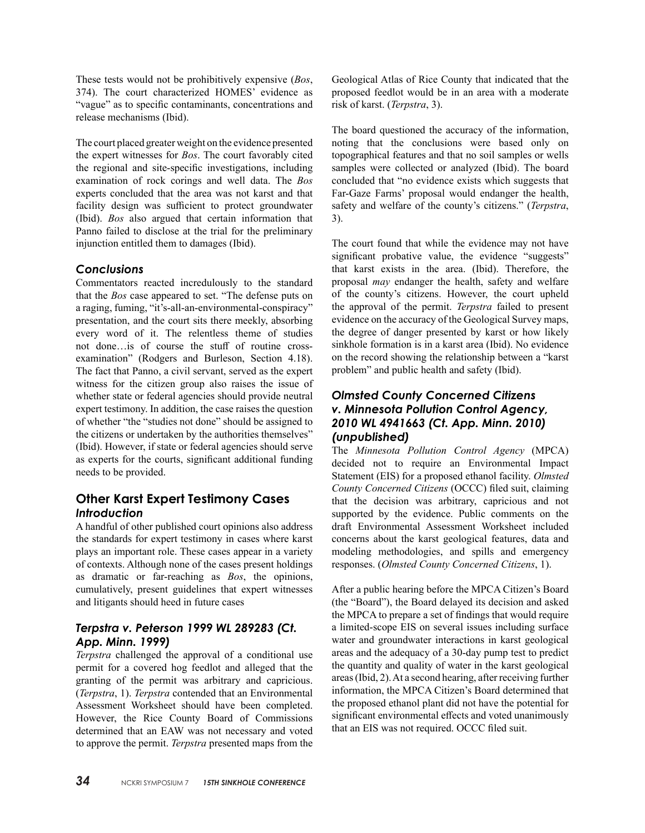These tests would not be prohibitively expensive (*Bos*, 374). The court characterized HOMES' evidence as "vague" as to specific contaminants, concentrations and release mechanisms (Ibid).

The court placed greater weight on the evidence presented the expert witnesses for *Bos*. The court favorably cited the regional and site-specific investigations, including examination of rock corings and well data. The *Bos* experts concluded that the area was not karst and that facility design was sufficient to protect groundwater (Ibid). *Bos* also argued that certain information that Panno failed to disclose at the trial for the preliminary injunction entitled them to damages (Ibid).

## *Conclusions*

Commentators reacted incredulously to the standard that the *Bos* case appeared to set. "The defense puts on a raging, fuming, "it's-all-an-environmental-conspiracy" presentation, and the court sits there meekly, absorbing every word of it. The relentless theme of studies not done…is of course the stuff of routine crossexamination" (Rodgers and Burleson, Section 4.18). The fact that Panno, a civil servant, served as the expert witness for the citizen group also raises the issue of whether state or federal agencies should provide neutral expert testimony. In addition, the case raises the question of whether "the "studies not done" should be assigned to the citizens or undertaken by the authorities themselves" (Ibid). However, if state or federal agencies should serve as experts for the courts, significant additional funding needs to be provided.

# **Other Karst Expert Testimony Cases** *Introduction*

A handful of other published court opinions also address the standards for expert testimony in cases where karst plays an important role. These cases appear in a variety of contexts. Although none of the cases present holdings as dramatic or far-reaching as *Bos*, the opinions, cumulatively, present guidelines that expert witnesses and litigants should heed in future cases

# *Terpstra v. Peterson 1999 WL 289283 (Ct. App. Minn. 1999)*

*Terpstra* challenged the approval of a conditional use permit for a covered hog feedlot and alleged that the granting of the permit was arbitrary and capricious. (*Terpstra*, 1). *Terpstra* contended that an Environmental Assessment Worksheet should have been completed. However, the Rice County Board of Commissions determined that an EAW was not necessary and voted to approve the permit. *Terpstra* presented maps from the Geological Atlas of Rice County that indicated that the proposed feedlot would be in an area with a moderate risk of karst. (*Terpstra*, 3).

The board questioned the accuracy of the information, noting that the conclusions were based only on topographical features and that no soil samples or wells samples were collected or analyzed (Ibid). The board concluded that "no evidence exists which suggests that Far-Gaze Farms' proposal would endanger the health, safety and welfare of the county's citizens." (*Terpstra*, 3).

The court found that while the evidence may not have significant probative value, the evidence "suggests" that karst exists in the area. (Ibid). Therefore, the proposal *may* endanger the health, safety and welfare of the county's citizens. However, the court upheld the approval of the permit. *Terpstra* failed to present evidence on the accuracy of the Geological Survey maps, the degree of danger presented by karst or how likely sinkhole formation is in a karst area (Ibid). No evidence on the record showing the relationship between a "karst problem" and public health and safety (Ibid).

## *Olmsted County Concerned Citizens v. Minnesota Pollution Control Agency, 2010 WL 4941663 (Ct. App. Minn. 2010) (unpublished)*

The *Minnesota Pollution Control Agency* (MPCA) decided not to require an Environmental Impact Statement (EIS) for a proposed ethanol facility. *Olmsted County Concerned Citizens* (OCCC) filed suit, claiming that the decision was arbitrary, capricious and not supported by the evidence. Public comments on the draft Environmental Assessment Worksheet included concerns about the karst geological features, data and modeling methodologies, and spills and emergency responses. (*Olmsted County Concerned Citizens*, 1).

After a public hearing before the MPCA Citizen's Board (the "Board"), the Board delayed its decision and asked the MPCA to prepare a set of findings that would require a limited-scope EIS on several issues including surface water and groundwater interactions in karst geological areas and the adequacy of a 30-day pump test to predict the quantity and quality of water in the karst geological areas (Ibid, 2). At a second hearing, after receiving further information, the MPCA Citizen's Board determined that the proposed ethanol plant did not have the potential for significant environmental effects and voted unanimously that an EIS was not required. OCCC filed suit.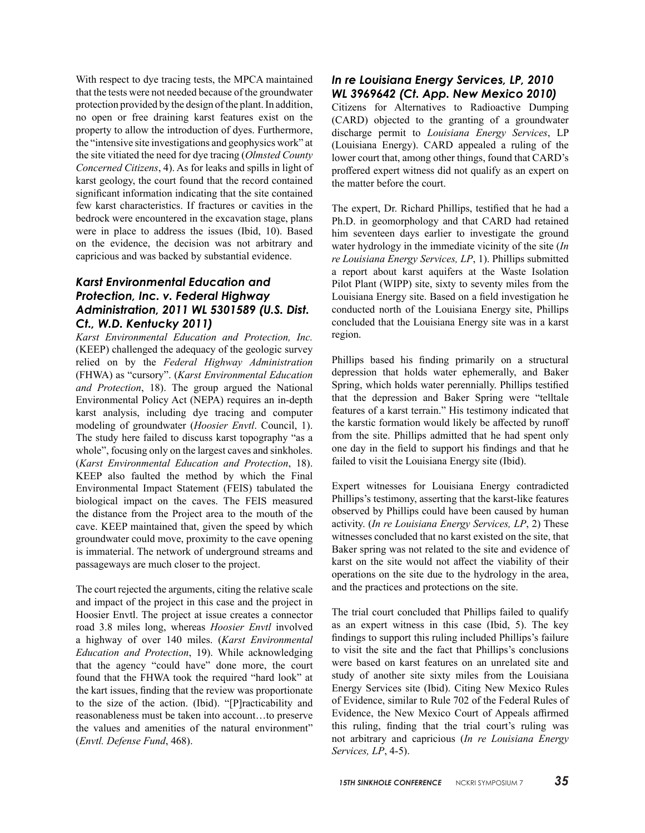With respect to dye tracing tests, the MPCA maintained that the tests were not needed because of the groundwater protection provided by the design of the plant. In addition, no open or free draining karst features exist on the property to allow the introduction of dyes. Furthermore, the "intensive site investigations and geophysics work" at the site vitiated the need for dye tracing (*Olmsted County Concerned Citizens*, 4). As for leaks and spills in light of karst geology, the court found that the record contained significant information indicating that the site contained few karst characteristics. If fractures or cavities in the bedrock were encountered in the excavation stage, plans were in place to address the issues (Ibid, 10). Based on the evidence, the decision was not arbitrary and capricious and was backed by substantial evidence.

# *Karst Environmental Education and Protection, Inc. v. Federal Highway Administration, 2011 WL 5301589 (U.S. Dist. Ct., W.D. Kentucky 2011)*

*Karst Environmental Education and Protection, Inc.*  (KEEP) challenged the adequacy of the geologic survey relied on by the *Federal Highway Administration*  (FHWA) as "cursory". (*Karst Environmental Education and Protection*, 18). The group argued the National Environmental Policy Act (NEPA) requires an in-depth karst analysis, including dye tracing and computer modeling of groundwater (*Hoosier Envtl*. Council, 1). The study here failed to discuss karst topography "as a whole", focusing only on the largest caves and sinkholes. (*Karst Environmental Education and Protection*, 18). KEEP also faulted the method by which the Final Environmental Impact Statement (FEIS) tabulated the biological impact on the caves. The FEIS measured the distance from the Project area to the mouth of the cave. KEEP maintained that, given the speed by which groundwater could move, proximity to the cave opening is immaterial. The network of underground streams and passageways are much closer to the project.

The court rejected the arguments, citing the relative scale and impact of the project in this case and the project in Hoosier Envtl. The project at issue creates a connector road 3.8 miles long, whereas *Hoosier Envtl* involved a highway of over 140 miles. (*Karst Environmental Education and Protection*, 19). While acknowledging that the agency "could have" done more, the court found that the FHWA took the required "hard look" at the kart issues, finding that the review was proportionate to the size of the action. (Ibid). "[P]racticability and reasonableness must be taken into account…to preserve the values and amenities of the natural environment" (*Envtl. Defense Fund*, 468).

# *In re Louisiana Energy Services, LP, 2010 WL 3969642 (Ct. App. New Mexico 2010)*

Citizens for Alternatives to Radioactive Dumping (CARD) objected to the granting of a groundwater discharge permit to *Louisiana Energy Services*, LP (Louisiana Energy). CARD appealed a ruling of the lower court that, among other things, found that CARD's proffered expert witness did not qualify as an expert on the matter before the court.

The expert, Dr. Richard Phillips, testified that he had a Ph.D. in geomorphology and that CARD had retained him seventeen days earlier to investigate the ground water hydrology in the immediate vicinity of the site (*In re Louisiana Energy Services, LP*, 1). Phillips submitted a report about karst aquifers at the Waste Isolation Pilot Plant (WIPP) site, sixty to seventy miles from the Louisiana Energy site. Based on a field investigation he conducted north of the Louisiana Energy site, Phillips concluded that the Louisiana Energy site was in a karst region.

Phillips based his finding primarily on a structural depression that holds water ephemerally, and Baker Spring, which holds water perennially. Phillips testified that the depression and Baker Spring were "telltale features of a karst terrain." His testimony indicated that the karstic formation would likely be affected by runoff from the site. Phillips admitted that he had spent only one day in the field to support his findings and that he failed to visit the Louisiana Energy site (Ibid).

Expert witnesses for Louisiana Energy contradicted Phillips's testimony, asserting that the karst-like features observed by Phillips could have been caused by human activity. (*In re Louisiana Energy Services, LP*, 2) These witnesses concluded that no karst existed on the site, that Baker spring was not related to the site and evidence of karst on the site would not affect the viability of their operations on the site due to the hydrology in the area, and the practices and protections on the site.

The trial court concluded that Phillips failed to qualify as an expert witness in this case (Ibid, 5). The key findings to support this ruling included Phillips's failure to visit the site and the fact that Phillips's conclusions were based on karst features on an unrelated site and study of another site sixty miles from the Louisiana Energy Services site (Ibid). Citing New Mexico Rules of Evidence, similar to Rule 702 of the Federal Rules of Evidence, the New Mexico Court of Appeals affirmed this ruling, finding that the trial court's ruling was not arbitrary and capricious (*In re Louisiana Energy Services, LP*, 4-5).